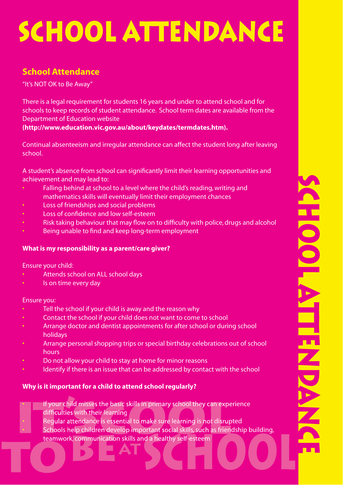# **SCHOOL ATTENDANCE**<br>
School Attendance<br>
TESNOTOK to Be Away"<br>
There is a logal requirement for studient stip special uniter to attend school and to<br>
schools to keep records of studient attachance. School term distance is<br>

# **School Attendance**

"It's NOT OK to Be Away"

There is a legal requirement for students 16 years and under to attend school and for schools to keep records of student attendance. School term dates are available from the Department of Education website

**(http://www.education.vic.gov.au/about/keydates/termdates.htm).**

Continual absenteeism and irregular attendance can affect the student long after leaving school.

A student's absence from school can significantly limit their learning opportunities and achievement and may lead to:

- Falling behind at school to a level where the child's reading, writing and mathematics skills will eventually limit their employment chances
- Loss of friendships and social problems
- Loss of confidence and low self-esteem
- Risk taking behaviour that may flow on to difficulty with police, drugs and alcohol
- Being unable to find and keep long-term employment

### **What is my responsibility as a parent/care giver?**

Ensure your child:

- Attends school on ALL school days
- Is on time every day

### Ensure you:

- Tell the school if your child is away and the reason why
- Contact the school if your child does not want to come to school
- Arrange doctor and dentist appointments for after school or during school holidays
- Arrange personal shopping trips or special birthday celebrations out of school hours
- Do not allow your child to stay at home for minor reasons
- Identify if there is an issue that can be addressed by contact with the school

### **Why is it important for a child to attend school regularly?**

- If your child misses the basic skills in primary school they can experience difficulties with their learning endifficulties with their learning<br>
• Regular attendance is essential to make sure learning is not disrupted
- 
- Schools help children develop important social skills, such as friendship building, teamwork, communication skills and a healthy self-esteem